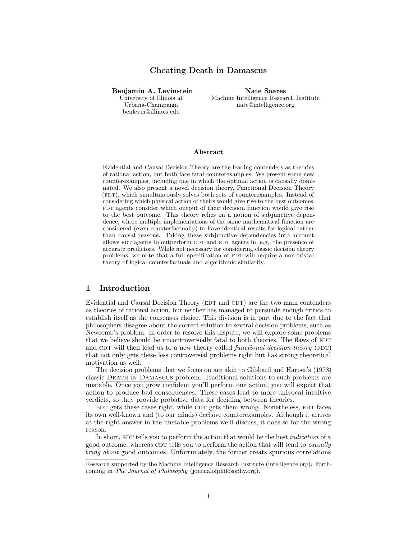# Cheating Death in Damascus

Benjamin A. Levinstein University of Illinois at Urbana-Champaign benlevin@illinois.edu

Nate Soares Machine Intelligence Research Institute nate@intelligence.org

#### Abstract

Evidential and Causal Decision Theory are the leading contenders as theories of rational action, but both face fatal counterexamples. We present some new counterexamples, including one in which the optimal action is causally dominated. We also present a novel decision theory, Functional Decision Theory (FDT), which simultaneously solves both sets of counterexamples. Instead of considering which physical action of theirs would give rise to the best outcomes, FDT agents consider which output of their decision function would give rise to the best outcome. This theory relies on a notion of subjunctive dependence, where multiple implementations of the same mathematical function are considered (even counterfactually) to have identical results for logical rather than causal reasons. Taking these subjunctive dependencies into account allows FDT agents to outperform CDT and EDT agents in, e.g., the presence of accurate predictors. While not necessary for considering classic decision theory problems, we note that a full specification of FDT will require a non-trivial theory of logical counterfactuals and algorithmic similarity.

# 1 Introduction

Evidential and Causal Decision Theory (EDT and CDT) are the two main contenders as theories of rational action, but neither has managed to persuade enough critics to establish itself as the consensus choice. This division is in part due to the fact that philosophers disagree about the correct solution to several decision problems, such as Newcomb's problem. In order to resolve this dispute, we will explore some problems that we believe should be uncontroversially fatal to both theories. The flaws of EDT and CDT will then lead us to a new theory called *functional decision theory* ( $FDT$ ) that not only gets these less controversial problems right but has strong theoretical motivation as well.

The decision problems that we focus on are akin to Gibbard and Harper's (1978) classic [Death in Damascus](#page-4-0) problem. Traditional solutions to such problems are unstable. Once you grow confident you'll perform one action, you will expect that action to produce bad consequences. These cases lead to more univocal intuitive verdicts, so they provide probative data for deciding between theories.

EDT gets these cases right, while CDT gets them wrong. Nonetheless, EDT faces its own well-known and (to our minds) decisive counterexamples. Although it arrives at the right answer in the unstable problems we'll discuss, it does so for the wrong reason.

In short, EDT tells you to perform the action that would be the best *indication* of a good outcome, whereas CDT tells you to perform the action that will tend to *causally* bring about good outcomes. Unfortunately, the former treats spurious correlations

Research supported by the Machine Intelligence Research Institute (intelligence.org). Forthcoming in The Journal of Philosophy (journalofphilosophy.org).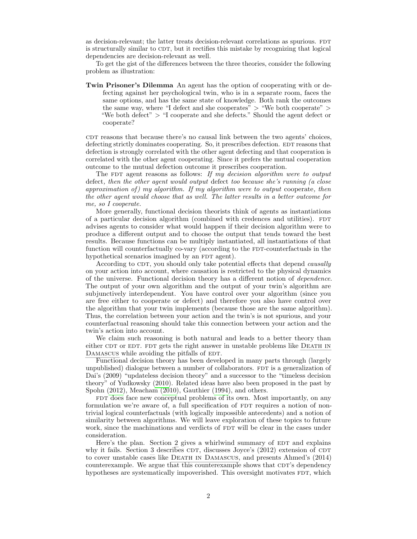as decision-relevant; the latter treats decision-relevant correlations as spurious. FDT is structurally similar to CDT, but it rectifies this mistake by recognizing that logical dependencies are decision-relevant as well.

To get the gist of the differences between the three theories, consider the following problem as illustration:

Twin Prisoner's Dilemma An agent has the option of cooperating with or defecting against her psychological twin, who is in a separate room, faces the same options, and has the same state of knowledge. Both rank the outcomes the same way, where "I defect and she cooperates" > "We both cooperate" > "We both defect" > "I cooperate and she defects." Should the agent defect or cooperate?

cdt reasons that because there's no causal link between the two agents' choices, defecting strictly dominates cooperating. So, it prescribes defection. EDT reasons that defection is strongly correlated with the other agent defecting and that cooperation is correlated with the other agent cooperating. Since it prefers the mutual cooperation outcome to the mutual defection outcome it prescribes cooperation.

The FDT agent reasons as follows: If my decision algorithm were to output defect, then the other agent would output defect too because she's running (a close approximation of) my algorithm. If my algorithm were to output cooperate, then the other agent would choose that as well. The latter results in a better outcome for me, so I cooperate.

More generally, functional decision theorists think of agents as instantiations of a particular decision algorithm (combined with credences and utilities). FDT advises agents to consider what would happen if their decision algorithm were to produce a different output and to choose the output that tends toward the best results. Because functions can be multiply instantiated, all instantiations of that function will counterfactually co-vary (according to the FDT-counterfactuals in the hypothetical scenarios imagined by an FDT agent).

According to CDT, you should only take potential effects that depend *causally* on your action into account, where causation is restricted to the physical dynamics of the universe. Functional decision theory has a different notion of dependence. The output of your own algorithm and the output of your twin's algorithm are subjunctively interdependent. You have control over your algorithm (since you are free either to cooperate or defect) and therefore you also have control over the algorithm that your twin implements (because those are the same algorithm). Thus, the correlation between your action and the twin's is not spurious, and your counterfactual reasoning should take this connection between your action and the twin's action into account.

We claim such reasoning is both natural and leads to a better theory than either CDT or EDT. FDT gets the right answer in unstable problems like DEATH IN DAMASCUS while avoiding the pitfalls of EDT.

Functional decision theory has been developed in many parts through (largely unpublished) dialogue between a number of collaborators. FDT is a generalization of Dai's (2009) "updateless decision theory" and a successor to the "timeless decision theory" of Yudkowsky [\(2010\)](#page-20-0). Related ideas have also been proposed in the past by Spohn [\(2012\)](#page-20-1), Meacham [\(2010\)](#page-20-2), Gauthier [\(1994\)](#page-20-3), and others.

FDT does face new conceptual problems of its own. Most importantly, on any formulation we're aware of, a full specification of FDT requires a notion of nontrivial logical counterfactuals (with logically impossible antecedents) and a notion of similarity between algorithms. We will leave exploration of these topics to future work, since the machinations and verdicts of FDT will be clear in the cases under consideration.

Here's the plan. Section [2](#page-2-0) gives a whirlwind summary of EDT and explains why it fails. Section [3](#page-3-0) describes  $CDT$ , discusses Joyce's  $(2012)$  extension of  $CDT$ to cover unstable cases like [Death in Damascus](#page-4-0), and presents Ahmed's (2014) counterexample. We argue that this counterexample shows that CDT's dependency hypotheses are systematically impoverished. This oversight motivates FDT, which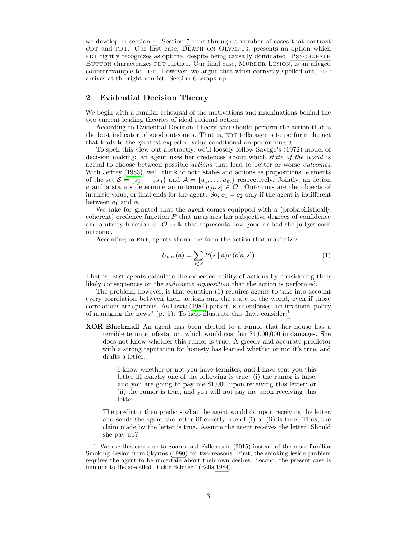we develop in section [4.](#page-8-0) Section [5](#page-13-0) runs through a number of cases that contrast cdt and FDT. Our first case, DEATH ON OLYMPUS, presents an option which FDT rightly recognizes as optimal despite being causally dominated. PSYCHOPATH BUTTON characterizes FDT further. Our final case, MURDER LESION, is an alleged counterexample to FDT. However, we argue that when correctly spelled out, FDT arrives at the right verdict. Section [6](#page-19-0) wraps up.

# <span id="page-2-0"></span>2 Evidential Decision Theory

We begin with a familiar rehearsal of the motivations and machinations behind the two current leading theories of ideal rational action.

According to Evidential Decision Theory, you should perform the action that is the best indicator of good outcomes. That is, EDT tells agents to perform the act that leads to the greatest expected value conditional on performing it.

To spell this view out abstractly, we'll loosely follow Savage's (1972) model of decision making: an agent uses her credences about which *state of the world* is actual to choose between possible actions that lead to better or worse outcomes. With Jeffrey [\(1983\)](#page-20-4), we'll think of both states and actions as propositions: elements of the set  $S = \{s_1, \ldots, s_n\}$  and  $\mathcal{A} = \{a_1, \ldots, a_m\}$  respectively. Jointly, an action a and a state s determine an outcome  $o[a, s] \in \mathcal{O}$ . Outcomes are the objects of intrinsic value, or final ends for the agent. So,  $o_1 = o_2$  only if the agent is indifferent between  $o_1$  and  $o_2$ .

We take for granted that the agent comes equipped with a (probabilistically  $coherent)$  credence function  $P$  that measures her subjective degrees of confidence and a utility function  $u: \mathcal{O} \to \mathbb{R}$  that represents how good or bad she judges each outcome.

According to EDT, agents should perform the action that maximizes

<span id="page-2-1"></span>
$$
U_{\text{EDT}}(a) = \sum_{s \in \mathcal{S}} P(s \mid a) u (o[a, s]) \tag{1}
$$

That is, EDT agents calculate the expected utility of actions by considering their likely consequences on the indicative supposition that the action is performed.

The problem, however, is that equation [\(1\)](#page-2-1) requires agents to take into account every correlation between their actions and the state of the world, even if those  $correlations$  are spurious. As Lewis  $(1981)$  puts it,  $EDT$  endorses "an irrational policy of managing the news" (p. 5). To help illustrate this flaw, consider: $<sup>1</sup>$  $<sup>1</sup>$  $<sup>1</sup>$ </sup>

XOR Blackmail An agent has been alerted to a rumor that her house has a terrible termite infestation, which would cost her \$1,000,000 in damages. She does not know whether this rumor is true. A greedy and accurate predictor with a strong reputation for honesty has learned whether or not it's true, and drafts a letter:

> I know whether or not you have termites, and I have sent you this letter iff exactly one of the following is true: (i) the rumor is false, and you are going to pay me \$1,000 upon receiving this letter; or (ii) the rumor is true, and you will not pay me upon receiving this letter.

The predictor then predicts what the agent would do upon receiving the letter, and sends the agent the letter iff exactly one of (i) or (ii) is true. Thus, the claim made by the letter is true. Assume the agent receives the letter. Should she pay up?

<span id="page-2-2"></span><sup>1.</sup> We use this case due to Soares and Fallenstein [\(2015\)](#page-20-6) instead of the more familiar Smoking Lesion from Skyrms [\(1980\)](#page-20-7) for two reasons. First, the smoking lesion problem requires the agent to be uncertain about their own desires. Second, the present case is immune to the so-called "tickle defense" (Eells [1984\)](#page-20-8).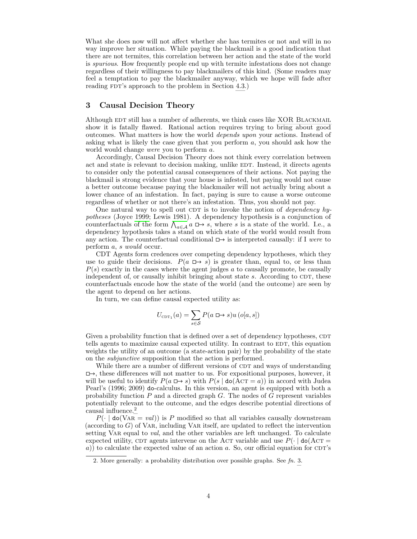What she does now will not affect whether she has termites or not and will in no way improve her situation. While paying the blackmail is a good indication that there are not termites, this correlation between her action and the state of the world is spurious. How frequently people end up with termite infestations does not change regardless of their willingness to pay blackmailers of this kind. (Some readers may feel a temptation to pay the blackmailer anyway, which we hope will fade after reading FDT's approach to the problem in Section [4.3.](#page-11-0))

# <span id="page-3-0"></span>3 Causal Decision Theory

Although EDT still has a number of adherents, we think cases like XOR BLACKMAIL show it is fatally flawed. Rational action requires trying to bring about good outcomes. What matters is how the world depends upon your actions. Instead of asking what is likely the case given that you perform a, you should ask how the world would change were you to perform a.

Accordingly, Causal Decision Theory does not think every correlation between act and state is relevant to decision making, unlike EDT. Instead, it directs agents to consider only the potential causal consequences of their actions. Not paying the blackmail is strong evidence that your house is infested, but paying would not cause a better outcome because paying the blackmailer will not actually bring about a lower chance of an infestation. In fact, paying is sure to cause a worse outcome regardless of whether or not there's an infestation. Thus, you should not pay.

One natural way to spell out CDT is to invoke the notion of *dependency hy*potheses (Joyce [1999;](#page-20-9) Lewis [1981\)](#page-20-5). A dependency hypothesis is a conjunction of counterfactuals of the form  $\bigwedge_{a \in A} a \mapsto s$ , where s is a state of the world. I.e., a dependency hypothesis takes a stand on which state of the world would result from any action. The counterfactual conditional  $\Box \rightarrow$  is interpreted causally: if I were to perform a, s would occur.

CDT Agents form credences over competing dependency hypotheses, which they use to guide their decisions.  $P(a \rightharpoonup s)$  is greater than, equal to, or less than  $P(s)$  exactly in the cases where the agent judges a to causally promote, be causally independent of, or causally inhibit bringing about state  $s$ . According to CDT, these counterfactuals encode how the state of the world (and the outcome) are seen by the agent to depend on her actions.

In turn, we can define causal expected utility as:

$$
U_{\text{CDT}_1}(a) = \sum_{s \in \mathcal{S}} P(a \sqcup s) u(o[a, s])
$$

Given a probability function that is defined over a set of dependency hypotheses, CDT tells agents to maximize causal expected utility. In contrast to EDT, this equation weights the utility of an outcome (a state-action pair) by the probability of the state on the subjunctive supposition that the action is performed.

While there are a number of different versions of CDT and ways of understanding  $\Box \rightarrow$ , these differences will not matter to us. For expositional purposes, however, it will be useful to identify  $P(a \rightharpoonup s)$  with  $P(s | \text{do}(A \text{CT} = a))$  in accord with Judea Pearl's (1996; 2009) do-calculus. In this version, an agent is equipped with both a probability function  $P$  and a directed graph  $G$ . The nodes of  $G$  represent variables potentially relevant to the outcome, and the edges describe potential directions of causal influence.<sup>[2](#page-3-1)</sup>

 $P(\cdot | \text{do}(\text{VAR} = val))$  is P modified so that all variables causally downstream (according to  $G$ ) of VAR, including VAR itself, are updated to reflect the intervention setting VAR equal to *val*, and the other variables are left unchanged. To calculate expected utility, CDT agents intervene on the ACT variable and use  $P(\cdot | \text{do}(ACT =$  $a)$ ) to calculate the expected value of an action a. So, our official equation for CDT's

<span id="page-3-1"></span><sup>2.</sup> More generally: a probability distribution over possible graphs. See  $fn$ . [3.](#page-4-1)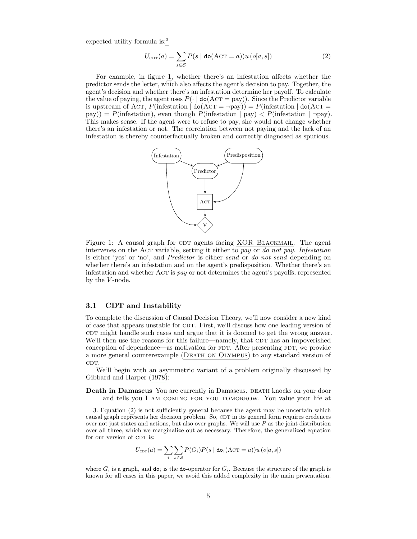expected utility formula is:<sup>[3](#page-4-1)</sup>

<span id="page-4-3"></span>
$$
U_{\text{CDT}}(a) = \sum_{s \in \mathcal{S}} P(s \mid \text{do}(\text{ACT} = a)) u(o[a, s]) \tag{2}
$$

For example, in figure [1,](#page-4-2) whether there's an infestation affects whether the predictor sends the letter, which also affects the agent's decision to pay. Together, the agent's decision and whether there's an infestation determine her payoff. To calculate the value of paying, the agent uses  $P(\cdot | \text{do}(A \text{CT} = \text{pay}))$ . Since the Predictor variable is upstream of Act, P(infestation  $\phi$  do(Act =  $\neg$ pay)) = P(infestation  $\phi$  do(Act = pay)) = P(infestation), even though P(infestation  $|$  pay)  $\lt P$ (infestation  $|$   $\neg$ pay). This makes sense. If the agent were to refuse to pay, she would not change whether there's an infestation or not. The correlation between not paying and the lack of an infestation is thereby counterfactually broken and correctly diagnosed as spurious.

<span id="page-4-2"></span>

Figure 1: A causal graph for CDT agents facing XOR BLACKMAIL. The agent intervenes on the Act variable, setting it either to pay or do not pay. Infestation is either 'yes' or 'no', and Predictor is either send or do not send depending on whether there's an infestation and on the agent's predisposition. Whether there's an infestation and whether  $ACT$  is pay or not determines the agent's payoffs, represented by the  $V$ -node.

### <span id="page-4-0"></span>3.1 CDT and Instability

To complete the discussion of Causal Decision Theory, we'll now consider a new kind of case that appears unstable for CDT. First, we'll discuss how one leading version of cdtr might handle such cases and argue that it is doomed to get the wrong answer. We'll then use the reasons for this failure—namely, that CDT has an impoverished conception of dependence—as motivation for FDT. After presenting FDT, we provide a more general counterexample ([Death on Olympus](#page-13-1)) to any standard version of CDT.

We'll begin with an asymmetric variant of a problem originally discussed by Gibbard and Harper [\(1978\)](#page-20-10):

Death in Damascus You are currently in Damascus. DEATH knocks on your door and tells you I am coming for you tomorrow. You value your life at

$$
U_{\text{CDT}}(a) = \sum_{i} \sum_{s \in \mathcal{S}} P(G_i) P(s \mid \text{do}_i(\text{ACT} = a)) u(o[a, s])
$$

where  $G_i$  is a graph, and  $\mathbf{d} \mathbf{o}_i$  is the do-operator for  $G_i$ . Because the structure of the graph is known for all cases in this paper, we avoid this added complexity in the main presentation.

<span id="page-4-1"></span><sup>3.</sup> Equation [\(2\)](#page-4-3) is not sufficiently general because the agent may be uncertain which causal graph represents her decision problem. So, CDT in its general form requires credences over not just states and actions, but also over graphs. We will use  $P$  as the joint distribution over all three, which we marginalize out as necessary. Therefore, the generalized equation for our version of CDT is: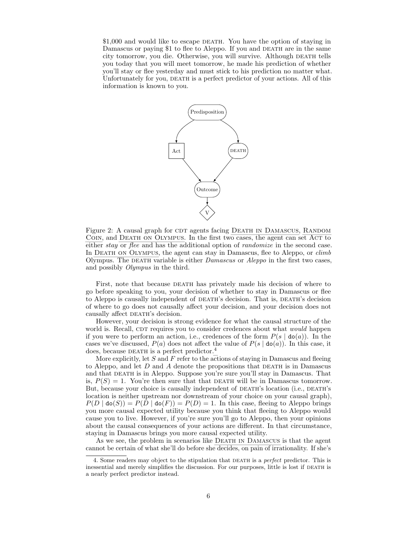<span id="page-5-1"></span>\$1,000 and would like to escape DEATH. You have the option of staying in Damascus or paying \$1 to flee to Aleppo. If you and DEATH are in the same city tomorrow, you die. Otherwise, you will survive. Although DEATH tells you today that you will meet tomorrow, he made his prediction of whether you'll stay or flee yesterday and must stick to his prediction no matter what. Unfortunately for you, DEATH is a perfect predictor of your actions. All of this information is known to you.



Figure 2: A causal graph for CDT agents facing DEATH IN DAMASCUS, RANDOM COIN, and DEATH ON OLYMPUS. In the first two cases, the agent can set ACT to either *stay* or *flee* and has the additional option of *randomize* in the second case. In DEATH ON OLYMPUS, the agent can stay in Damascus, flee to Aleppo, or *climb* Olympus. The DEATH variable is either  $Damascus$  or  $Aleppo$  in the first two cases, and possibly Olympus in the third.

First, note that because DEATH has privately made his decision of where to go before speaking to you, your decision of whether to stay in Damascus or flee to Aleppo is causally independent of DEATH's decision. That is, DEATH's decision of where to go does not causally affect your decision, and your decision does not causally affect DEATH's decision.

However, your decision is strong evidence for what the causal structure of the world is. Recall, CDT requires you to consider credences about what *would* happen if you were to perform an action, i.e., credences of the form  $P(s | \text{do}(a))$ . In the cases we've discussed,  $P(a)$  does not affect the value of  $P(s | \text{do}(a))$ . In this case, it does, because DEATH is a perfect predictor. $4$ 

More explicitly, let  $S$  and  $F$  refer to the actions of staying in Damascus and fleeing to Aleppo, and let  $D$  and  $A$  denote the propositions that DEATH is in Damascus and that DEATH is in Aleppo. Suppose you're sure you'll stay in Damascus. That is,  $P(S) = 1$ . You're then sure that that DEATH will be in Damascus tomorrow. But, because your choice is causally independent of DEATH's location (i.e., DEATH's location is neither upstream nor downstream of your choice on your causal graph),  $P(D \mid \text{do}(S)) = P(D \mid \text{do}(F)) = P(D) = 1$ . In this case, fleeing to Aleppo brings you more causal expected utility because you think that fleeing to Aleppo would cause you to live. However, if you're sure you'll go to Aleppo, then your opinions about the causal consequences of your actions are different. In that circumstance, staying in Damascus brings you more causal expected utility.

As we see, the problem in scenarios like DEATH IN DAMASCUS is that the agent cannot be certain of what she'll do before she decides, on pain of irrationality. If she's

<span id="page-5-0"></span><sup>4.</sup> Some readers may object to the stipulation that DEATH is a *perfect* predictor. This is inessential and merely simplifies the discussion. For our purposes, little is lost if DEATH is a nearly perfect predictor instead.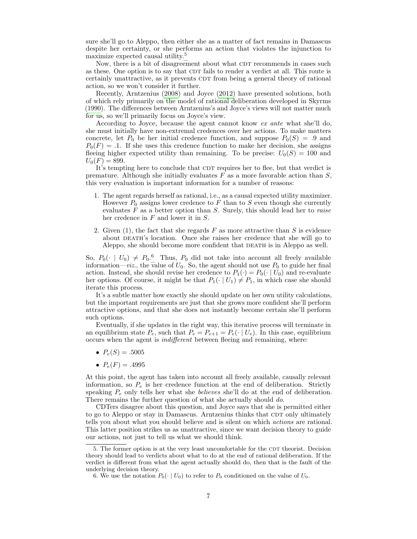sure she'll go to Aleppo, then either she as a matter of fact remains in Damascus despite her certainty, or she performs an action that violates the injunction to maximize expected causal utility.[5](#page-6-0)

Now, there is a bit of disagreement about what CDT recommends in cases such as these. One option is to say that CDT fails to render a verdict at all. This route is certainly unattractive, as it prevents CDT from being a general theory of rational action, so we won't consider it further.

Recently, Arntzenius [\(2008\)](#page-19-1) and Joyce [\(2012\)](#page-20-11) have presented solutions, both of which rely primarily on the model of rational deliberation developed in Skyrms [\(1990\)](#page-20-12). The differences between Arntzenius's and Joyce's views will not matter much for us, so we'll primarily focus on Joyce's view.

According to Joyce, because the agent cannot know ex ante what she'll do, she must initially have non-extremal credences over her actions. To make matters concrete, let  $P_0$  be her initial credence function, and suppose  $P_0(S) = .9$  and  $P_0(F) = .1$ . If she uses this credence function to make her decision, she assigns fleeing higher expected utility than remaining. To be precise:  $U_0(S) = 100$  and  $U_0(F) = 899.$ 

It's tempting here to conclude that CDT requires her to flee, but that verdict is premature. Although she initially evaluates  $F$  as a more favorable action than  $S$ , this very evaluation is important information for a number of reasons:

- 1. The agent regards herself as rational, i.e., as a causal expected utility maximizer. However  $P_0$  assigns lower credence to F than to S even though she currently evaluates  $F$  as a better option than  $S$ . Surely, this should lead her to *raise* her credence in F and lower it in S.
- 2. Given (1), the fact that she regards  $F$  as more attractive than  $S$  is evidence about death's location. Once she raises her credence that she will go to Aleppo, she should become more confident that DEATH is in Aleppo as well.

So,  $P_0(\cdot | U_0) \neq P_0$ .<sup>[6](#page-6-1)</sup> Thus,  $P_0$  did not take into account all freely available information—*viz.*, the value of  $U_0$ . So, the agent should not use  $P_0$  to guide her final action. Instead, she should revise her credence to  $P_1(\cdot) = P_0(\cdot | U_0)$  and re-evaluate her options. Of course, it might be that  $P_1(\cdot | U_1) \neq P_1$ , in which case she should iterate this process.

It's a subtle matter how exactly she should update on her own utility calculations, but the important requirements are just that she grows more confident she'll perform attractive options, and that she does not instantly become certain she'll perform such options.

Eventually, if she updates in the right way, this iterative process will terminate in an equilibrium state  $P_e$ , such that  $P_e = P_{e+1} = P_e(\cdot | U_e)$ . In this case, equilibrium occurs when the agent is indifferent between fleeing and remaining, where:

- $P_e(S) = .5005$
- $P_e(F) = .4995$

At this point, the agent has taken into account all freely available, causally relevant information, so  $P_e$  is her credence function at the end of deliberation. Strictly speaking  $P_e$  only tells her what she *believes* she'll do at the end of deliberation. There remains the further question of what she actually should do.

CDTers disagree about this question, and Joyce says that she is permitted either to go to Aleppo or stay in Damascus. Arntzenius thinks that CDT only ultimately tells you about what you should believe and is silent on which actions are rational. This latter position strikes us as unattractive, since we want decision theory to guide our actions, not just to tell us what we should think.

<span id="page-6-0"></span><sup>5.</sup> The former option is at the very least uncomfortable for the CDT theorist. Decision theory should lead to verdicts about what to do at the end of rational deliberation. If the verdict is different from what the agent actually should do, then that is the fault of the underlying decision theory.

<span id="page-6-1"></span><sup>6.</sup> We use the notation  $P_0(\cdot | U_0)$  to refer to  $P_0$  conditioned on the value of  $U_0$ .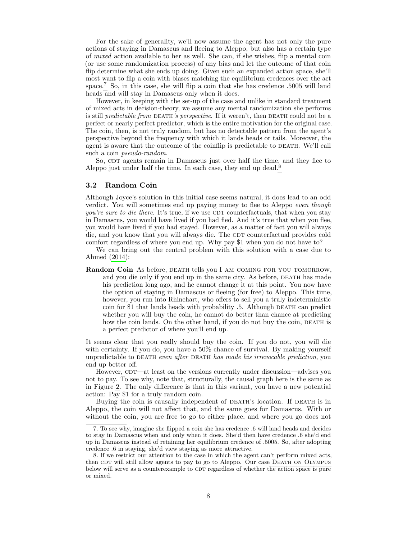For the sake of generality, we'll now assume the agent has not only the pure actions of staying in Damascus and fleeing to Aleppo, but also has a certain type of mixed action available to her as well. She can, if she wishes, flip a mental coin (or use some randomization process) of any bias and let the outcome of that coin flip determine what she ends up doing. Given such an expanded action space, she'll most want to flip a coin with biases matching the equilibrium credences over the act space.[7](#page-7-1) So, in this case, she will flip a coin that she has credence .5005 will land heads and will stay in Damascus only when it does.

However, in keeping with the set-up of the case and unlike in standard treatment of mixed acts in decision-theory, we assume any mental randomization she performs is still *predictable from DEATH's perspective*. If it weren't, then DEATH could not be a perfect or nearly perfect predictor, which is the entire motivation for the original case. The coin, then, is not truly random, but has no detectable pattern from the agent's perspective beyond the frequency with which it lands heads or tails. Moreover, the agent is aware that the outcome of the coinflip is predictable to DEATH. We'll call such a coin pseudo-random.

So, CDT agents remain in Damascus just over half the time, and they flee to Aleppo just under half the time. In each case, they end up dead.[8](#page-7-2)

### <span id="page-7-0"></span>3.2 Random Coin

Although Joyce's solution in this initial case seems natural, it does lead to an odd verdict. You will sometimes end up paying money to flee to Aleppo even though  $you're sure to die there. It's true, if we use CDT counterfactuals, that when you stay.$ in Damascus, you would have lived if you had fled. And it's true that when you flee, you would have lived if you had stayed. However, as a matter of fact you will always die, and you know that you will always die. The CDT counterfactual provides cold comfort regardless of where you end up. Why pay \$1 when you do not have to?

We can bring out the central problem with this solution with a case due to Ahmed [\(2014\)](#page-19-2):

Random Coin As before, DEATH tells you I AM COMING FOR YOU TOMORROW, and you die only if you end up in the same city. As before, DEATH has made his prediction long ago, and he cannot change it at this point. You now have the option of staying in Damascus or fleeing (for free) to Aleppo. This time, however, you run into Rhinehart, who offers to sell you a truly indeterministic coin for \$1 that lands heads with probability .5. Although DEATH can predict whether you will buy the coin, he cannot do better than chance at predicting how the coin lands. On the other hand, if you do not buy the coin, DEATH is a perfect predictor of where you'll end up.

It seems clear that you really should buy the coin. If you do not, you will die with certainty. If you do, you have a 50% chance of survival. By making yourself unpredictable to DEATH even after DEATH has made his irrevocable prediction, you end up better off.

However, CDT—at least on the versions currently under discussion—advises you not to pay. To see why, note that, structurally, the causal graph here is the same as in Figure [2.](#page-5-1) The only difference is that in this variant, you have a new potential action: Pay \$1 for a truly random coin.

Buying the coin is causally independent of DEATH's location. If DEATH is in Aleppo, the coin will not affect that, and the same goes for Damascus. With or without the coin, you are free to go to either place, and where you go does not

<span id="page-7-1"></span><sup>7.</sup> To see why, imagine she flipped a coin she has credence .6 will land heads and decides to stay in Damascus when and only when it does. She'd then have credence .6 she'd end up in Damascus instead of retaining her equilibrium credence of .5005. So, after adopting credence .6 in staying, she'd view staying as more attractive.

<span id="page-7-2"></span><sup>8.</sup> If we restrict our attention to the case in which the agent can't perform mixed acts, then CDT will still allow agents to pay to go to Aleppo. Our case DEATH ON OLYMPUS below will serve as a counterexample to CDT regardless of whether the action space is pure or mixed.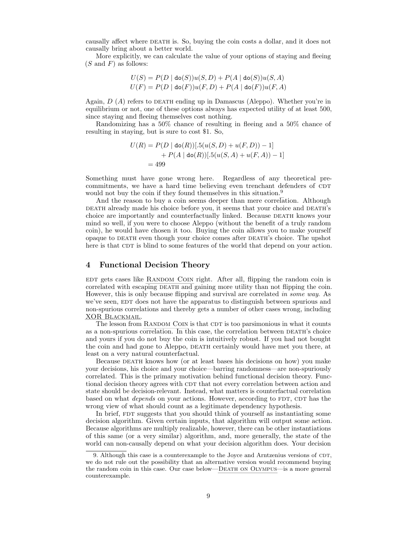causally affect where DEATH is. So, buying the coin costs a dollar, and it does not causally bring about a better world.

More explicitly, we can calculate the value of your options of staying and fleeing  $(S \text{ and } F)$  as follows:

$$
U(S) = P(D \mid \text{do}(S))u(S, D) + P(A \mid \text{do}(S))u(S, A)
$$
  

$$
U(F) = P(D \mid \text{do}(F))u(F, D) + P(A \mid \text{do}(F))u(F, A)
$$

Again,  $D(A)$  refers to DEATH ending up in Damascus (Aleppo). Whether you're in equilibrium or not, one of these options always has expected utility of at least 500, since staying and fleeing themselves cost nothing.

Randomizing has a 50% chance of resulting in fleeing and a 50% chance of resulting in staying, but is sure to cost \$1. So,

$$
U(R) = P(D | \text{do}(R))[:5(u(S, D) + u(F, D)) - 1]
$$
  
+ P(A | \text{do}(R))[:5(u(S, A) + u(F, A)) - 1]  
= 499

Something must have gone wrong here. Regardless of any theoretical precommitments, we have a hard time believing even trenchant defenders of CDT would not buy the coin if they found themselves in this situation.<sup>[9](#page-8-1)</sup>

And the reason to buy a coin seems deeper than mere correlation. Although DEATH already made his choice before you, it seems that your choice and DEATH's choice are importantly and counterfactually linked. Because DEATH knows your mind so well, if you were to choose Aleppo (without the benefit of a truly random coin), he would have chosen it too. Buying the coin allows you to make yourself opaque to death even though your choice comes after death's choice. The upshot here is that CDT is blind to some features of the world that depend on your action.

# <span id="page-8-0"></span>4 Functional Decision Theory

EDT gets cases like RANDOM COIN right. After all, flipping the random coin is correlated with escaping DEATH and gaining more utility than not flipping the coin. However, this is only because flipping and survival are correlated in some way. As we've seen, EDT does not have the apparatus to distinguish between spurious and non-spurious correlations and thereby gets a number of other cases wrong, including [XOR Blackmail](#page-2-1).

The lesson from RANDOM COIN is that CDT is too parsimonious in what it counts as a non-spurious correlation. In this case, the correlation between DEATH's choice and yours if you do not buy the coin is intuitively robust. If you had not bought the coin and had gone to Aleppo, DEATH certainly would have met you there, at least on a very natural counterfactual.

Because death knows how (or at least bases his decisions on how) you make your decisions, his choice and your choice—barring randomness—are non-spuriously correlated. This is the primary motivation behind functional decision theory. Functional decision theory agrees with CDT that not every correlation between action and state should be decision-relevant. Instead, what matters is counterfactual correlation based on what *depends* on your actions. However, according to FDT, CDT has the wrong view of what should count as a legitimate dependency hypothesis.

In brief, FDT suggests that you should think of yourself as instantiating some decision algorithm. Given certain inputs, that algorithm will output some action. Because algorithms are multiply realizable, however, there can be other instantiations of this same (or a very similar) algorithm, and, more generally, the state of the world can non-causally depend on what your decision algorithm does. Your decision

<span id="page-8-1"></span><sup>9.</sup> Although this case is a counterexample to the Joyce and Arntzenius versions of  $CDT$ , we do not rule out the possibility that an alternative version would recommend buying the random coin in this case. Our case below—[Death on Olympus](#page-13-1)—is a more general counterexample.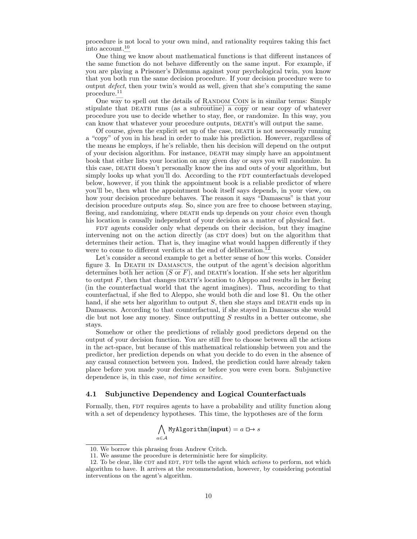procedure is not local to your own mind, and rationality requires taking this fact into account.[10](#page-9-0)

One thing we know about mathematical functions is that different instances of the same function do not behave differently on the same input. For example, if you are playing a Prisoner's Dilemma against your psychological twin, you know that you both run the same decision procedure. If your decision procedure were to output defect, then your twin's would as well, given that she's computing the same procedure.[11](#page-9-1)

One way to spell out the details of RANDOM COIN is in similar terms: Simply stipulate that DEATH runs (as a subroutine) a copy or near copy of whatever procedure you use to decide whether to stay, flee, or randomize. In this way, you can know that whatever your procedure outputs, DEATH's will output the same.

Of course, given the explicit set up of the case, death is not necessarily running a "copy" of you in his head in order to make his prediction. However, regardless of the means he employs, if he's reliable, then his decision will depend on the output of your decision algorithm. For instance, death may simply have an appointment book that either lists your location on any given day or says you will randomize. In this case, DEATH doesn't personally know the ins and outs of your algorithm, but simply looks up what you'll do. According to the FDT counterfactuals developed below, however, if you think the appointment book is a reliable predictor of where you'll be, then what the appointment book itself says depends, in your view, on how your decision procedure behaves. The reason it says "Damascus" is that your decision procedure outputs *stay*. So, since you are free to choose between staying, fleeing, and randomizing, where DEATH ends up depends on your *choice* even though his location is causally independent of your decision as a matter of physical fact.

FDT agents consider only what depends on their decision, but they imagine intervening not on the action directly (as CDT does) but on the algorithm that determines their action. That is, they imagine what would happen differently if they were to come to different verdicts at the end of deliberation.<sup>[12](#page-9-2)</sup>

Let's consider a second example to get a better sense of how this works. Consider figure [3.](#page-11-1) In [Death in Damascus](#page-4-0), the output of the agent's decision algorithm determines both her action (S or F), and DEATH's location. If she sets her algorithm to output  $F$ , then that changes DEATH's location to Aleppo and results in her fleeing (in the counterfactual world that the agent imagines). Thus, according to that counterfactual, if she fled to Aleppo, she would both die and lose \$1. On the other hand, if she sets her algorithm to output  $S$ , then she stays and DEATH ends up in Damascus. According to that counterfactual, if she stayed in Damascus she would die but not lose any money. Since outputting S results in a better outcome, she stays.

Somehow or other the predictions of reliably good predictors depend on the output of your decision function. You are still free to choose between all the actions in the act-space, but because of this mathematical relationship between you and the predictor, her prediction depends on what you decide to do even in the absence of any causal connection between you. Indeed, the prediction could have already taken place before you made your decision or before you were even born. Subjunctive dependence is, in this case, not time sensitive.

#### 4.1 Subjunctive Dependency and Logical Counterfactuals

Formally, then, FDT requires agents to have a probability and utility function along with a set of dependency hypotheses. This time, the hypotheses are of the form

$$
\bigwedge_{a \in \mathcal{A}} \texttt{MyAlgorithm}(\textbf{input}) = a \boxminus s
$$

<span id="page-9-1"></span><span id="page-9-0"></span><sup>10.</sup> We borrow this phrasing from Andrew Critch.

<sup>11.</sup> We assume the procedure is deterministic here for simplicity.

<span id="page-9-2"></span><sup>12.</sup> To be clear, like CDT and EDT, FDT tells the agent which  $actions$  to perform, not which algorithm to have. It arrives at the recommendation, however, by considering potential interventions on the agent's algorithm.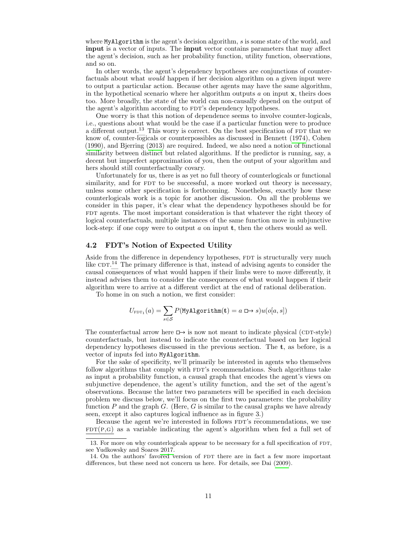where MyAlgorithm is the agent's decision algorithm, s is some state of the world, and input is a vector of inputs. The input vector contains parameters that may affect the agent's decision, such as her probability function, utility function, observations, and so on.

In other words, the agent's dependency hypotheses are conjunctions of counterfactuals about what would happen if her decision algorithm on a given input were to output a particular action. Because other agents may have the same algorithm, in the hypothetical scenario where her algorithm outputs  $a$  on input  $x$ , theirs does too. More broadly, the state of the world can non-causally depend on the output of the agent's algorithm according to FDT's dependency hypotheses.

One worry is that this notion of dependence seems to involve counter-logicals, i.e., questions about what would be the case if a particular function were to produce a different output.<sup>[13](#page-10-0)</sup> This worry is correct. On the best specification of  $FDT$  that we know of, counter-logicals or counterpossibles as discussed in Bennett [\(1974\)](#page-19-3), Cohen [\(1990\)](#page-20-13), and Bjerring [\(2013\)](#page-19-4) are required. Indeed, we also need a notion of functional similarity between distinct but related algorithms. If the predictor is running, say, a decent but imperfect approximation of you, then the output of your algorithm and hers should still counterfactually covary.

Unfortunately for us, there is as yet no full theory of counterlogicals or functional similarity, and for FDT to be successful, a more worked out theory is necessary, unless some other specification is forthcoming. Nonetheless, exactly how these counterlogicals work is a topic for another discussion. On all the problems we consider in this paper, it's clear what the dependency hypotheses should be for FDT agents. The most important consideration is that whatever the right theory of logical counterfactuals, multiple instances of the same function move in subjunctive lock-step: if one copy were to output  $a$  on input  $t$ , then the others would as well.

## 4.2 FDT's Notion of Expected Utility

Aside from the difference in dependency hypotheses, FDT is structurally very much like  $CDT<sup>14</sup>$  $CDT<sup>14</sup>$  $CDT<sup>14</sup>$  The primary difference is that, instead of advising agents to consider the causal consequences of what would happen if their limbs were to move differently, it instead advises them to consider the consequences of what would happen if their algorithm were to arrive at a different verdict at the end of rational deliberation.

To home in on such a notion, we first consider:

$$
U_{\mathrm{FDT}_1}(a) = \sum_{s \in \mathcal{S}} P(\texttt{MyAlgorithm}(\mathbf{t}) = a \boxminus s) u(o[a,s])
$$

The counterfactual arrow here  $\Box \rightarrow$  is now not meant to indicate physical (CDT-style) counterfactuals, but instead to indicate the counterfactual based on her logical dependency hypotheses discussed in the previous section. The t, as before, is a vector of inputs fed into MyAlgorithm.

For the sake of specificity, we'll primarily be interested in agents who themselves follow algorithms that comply with FDT's recommendations. Such algorithms take as input a probability function, a causal graph that encodes the agent's views on subjunctive dependence, the agent's utility function, and the set of the agent's observations. Because the latter two parameters will be specified in each decision problem we discuss below, we'll focus on the first two parameters: the probability function P and the graph G. (Here, G is similar to the causal graphs we have already seen, except it also captures logical influence as in figure [3.](#page-11-1))

Because the agent we're interested in follows FDT's recommendations, we use  $FDT(P,G)$  as a variable indicating the agent's algorithm when fed a full set of

<span id="page-10-0"></span><sup>13.</sup> For more on why counterlogicals appear to be necessary for a full specification of FDT, see Yudkowsky and Soares [2017.](#page-20-14)

<span id="page-10-1"></span><sup>14.</sup> On the authors' favored version of FDT there are in fact a few more important differences, but these need not concern us here. For details, see Dai [\(2009\)](#page-20-15).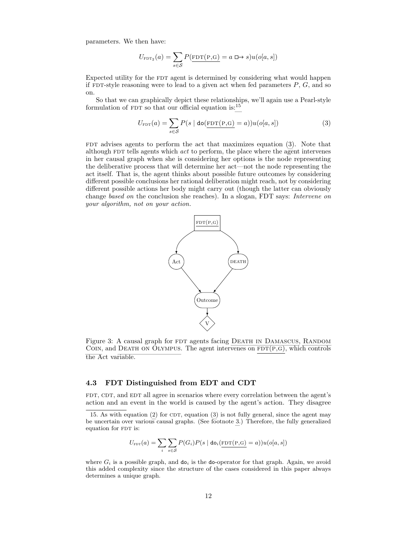parameters. We then have:

$$
U_{\text{FDT}_2}(a) = \sum_{s \in \mathcal{S}} P(\underbrace{\text{FDT}(P, G)}_{=} a \implies s) u(o[a, s])
$$

Expected utility for the FDT agent is determined by considering what would happen if FDT-style reasoning were to lead to a given act when fed parameters  $P, G$ , and so on.

So that we can graphically depict these relationships, we'll again use a Pearl-style formulation of FDT so that our official equation is: $15$ 

<span id="page-11-3"></span>
$$
U_{\text{FDT}}(a) = \sum_{s \in \mathcal{S}} P(s \mid \text{do}(\underline{\text{FDT}(\text{P}, \text{G})} = a)) u(o[a, s]) \tag{3}
$$

<span id="page-11-1"></span>FDT advises agents to perform the act that maximizes equation  $(3)$ . Note that although  $FDT$  tells agents which  $act$  to perform, the place where the agent intervenes in her causal graph when she is considering her options is the node representing the deliberative process that will determine her act—not the node representing the act itself. That is, the agent thinks about possible future outcomes by considering different possible conclusions her rational deliberation might reach, not by considering different possible actions her body might carry out (though the latter can obviously change based on the conclusion she reaches). In a slogan, FDT says: Intervene on your algorithm, not on your action.



Figure 3: A causal graph for FDT agents facing DEATH IN DAMASCUS, RANDOM COIN, and DEATH ON OLYMPUS. The agent intervenes on  $FDT(P,G)$ , which controls the Act variable.

### <span id="page-11-0"></span>4.3 FDT Distinguished from EDT and CDT

FDT, CDT, and EDT all agree in scenarios where every correlation between the agent's action and an event in the world is caused by the agent's action. They disagree

$$
U_{\text{FDT}}(a) = \sum_{i} \sum_{s \in \mathcal{S}} P(G_i) P(s \mid \text{do}_i(\underbrace{\text{FDT}(\mathbf{P}, \mathbf{G})}_{\text{FDT}} = a)) u(o[a, s])
$$

where  $G_i$  is a possible graph, and  $\mathbf{d}o_i$  is the do-operator for that graph. Again, we avoid this added complexity since the structure of the cases considered in this paper always determines a unique graph.

<span id="page-11-2"></span><sup>15.</sup> As with equation  $(2)$  for CDT, equation  $(3)$  is not fully general, since the agent may be uncertain over various causal graphs. (See footnote [3.](#page-4-1)) Therefore, the fully generalized equation for FDT is: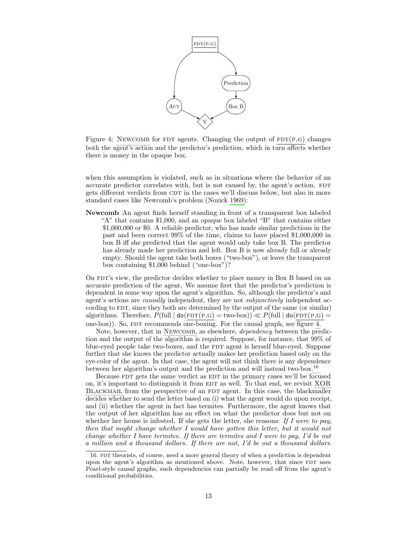<span id="page-12-0"></span>

Figure 4: NEWCOMB for FDT agents. Changing the output of  $FDT(P,G)$  changes both the agent's action and the predictor's prediction, which in turn affects whether there is money in the opaque box.

when this assumption is violated, such as in situations where the behavior of an accurate predictor correlates with, but is not caused by, the agent's action. FDT gets different verdicts from CDT in the cases we'll discuss below, but also in more standard cases like Newcomb's problem (Nozick [1969\)](#page-20-16):

Newcomb An agent finds herself standing in front of a transparent box labeled "A" that contains \$1,000, and an opaque box labeled "B" that contains either \$1,000,000 or \$0. A reliable predictor, who has made similar predictions in the past and been correct 99% of the time, claims to have placed \$1,000,000 in box B iff she predicted that the agent would only take box B. The predictor has already made her prediction and left. Box B is now already full or already empty. Should the agent take both boxes ("two-box"), or leave the transparent box containing \$1,000 behind ("one-box")?

On FDT's view, the predictor decides whether to place money in Box B based on an accurate prediction of the agent. We assume first that the predictor's prediction is dependent in some way upon the agent's algorithm. So, although the predictor's and agent's actions are *causally* independent, they are not *subjunctively* independent according to FDT, since they both are determined by the output of the same (or similar) algorithms. Therefore,  $P(\text{full} \mid \text{do}(\text{FDT}(P,G) = \text{two-box})) \ll P(\text{full} \mid \text{do}(\text{FDT}(P,G) =$ one-box)). So, FDT recommends one-boxing. For the causal graph, see figure [4.](#page-12-0)

Note, however, that in NEWCOMB, as elsewhere, *dependency* between the prediction and the output of the algorithm is required. Suppose, for instance, that 99% of blue-eyed people take two-boxes, and the FDT agent is herself blue-eyed. Suppose further that she knows the predictor actually makes her prediction based only on the eye-color of the agent. In that case, the agent will not think there is any dependence between her algorithm's output and the prediction and will instead two-box.[16](#page-12-1)

Because FDT gets the same verdict as EDT in the primary cases we'll be focused on, it's important to distinguish it from EDT as well. To that end, we revisit [XOR](#page-2-1) BLACKMAIL from the perspective of an FDT agent. In this case, the blackmailer decides whether to send the letter based on (i) what the agent would do upon receipt, and (ii) whether the agent in fact has termites. Furthermore, the agent knows that the output of her algorithm has an effect on what the predictor does but not on whether her house is infested. If she gets the letter, she reasons: If I were to pay, then that might change whether I would have gotten this letter, but it would not change whether I have termites. If there are termites and I were to pay, I'd be out a million and a thousand dollars. If there are not, I'd be out a thousand dollars.

<span id="page-12-1"></span><sup>16.</sup> FDT theorists, of course, need a more general theory of when a prediction is dependent upon the agent's algorithm as mentioned above. Note, however, that since FDT uses Pearl-style causal graphs, such dependencies can partially be read off from the agent's conditional probabilities.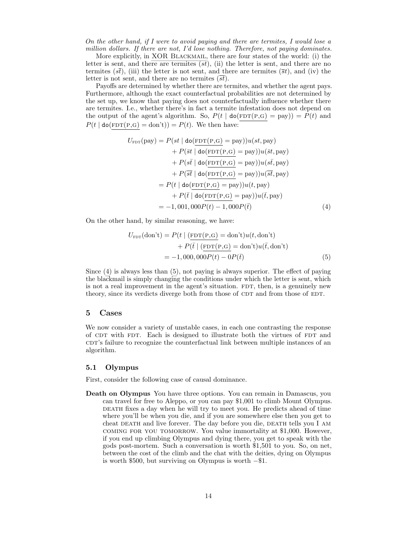On the other hand, if I were to avoid paying and there are termites, I would lose a million dollars. If there are not, I'd lose nothing. Therefore, not paying dominates.

More explicitly, in XOR BLACKMAIL, there are four states of the world: (i) the letter is sent, and there are termites  $(st)$ , (ii) the letter is sent, and there are no termites ( $s\bar{t}$ ), (iii) the letter is not sent, and there are termites ( $\bar{s}t$ ), and (iv) the letter is not sent, and there are no termites  $(\overline{st})$ .

Payoffs are determined by whether there are termites, and whether the agent pays. Furthermore, although the exact counterfactual probabilities are not determined by the set up, we know that paying does not counterfactually influence whether there are termites. I.e., whether there's in fact a termite infestation does not depend on the output of the agent's algorithm. So,  $P(t | \text{do}(\text{FDT}(P,G) = \text{pay})) = P(t)$  and  $P(t | \text{do}(\text{FDT}(P, G) = \text{don't})) = P(t)$ . We then have:

$$
U_{\text{FDT}}(\text{pay}) = P(st \mid \text{do}(\underline{\text{FDT}}(\underline{\text{P,G}}) = \text{pay}))u(st, \text{pay})
$$
  
+ 
$$
P(\bar{st} \mid \text{do}(\underline{\text{FDT}}(\underline{\text{P,G}}) = \text{pay}))u(\bar{st}, \text{pay})
$$
  
+ 
$$
P(s\bar{t} \mid \text{do}(\underline{\text{FDT}}(\underline{\text{P,G}}) = \text{pay}))u(\bar{st}, \text{pay})
$$
  
+ 
$$
P(\bar{st} \mid \text{do}(\underline{\text{FDT}}(\underline{\text{P,G}}) = \text{pay}))u(\bar{st}, \text{pay})
$$
  
= 
$$
P(t \mid \text{do}(\underline{\text{FDT}}(\underline{\text{P,G}}) = \text{pay}))u(t, \text{pay})
$$
  
+ 
$$
P(\bar{t} \mid \text{do}(\underline{\text{FDT}}(\underline{\text{P,G}}) = \text{pay}))u(\bar{t}, \text{pay})
$$
  
= -1, 001, 000P(t) - 1, 000P(\bar{t}) (4)

On the other hand, by similar reasoning, we have:

<span id="page-13-3"></span><span id="page-13-2"></span>
$$
U_{\text{FDT}}(\text{don't}) = P(t \mid (\underline{\text{FDT}(P,G)} = \text{don't})u(t, \text{don't})
$$

$$
+ P(\bar{t} \mid (\underline{\text{FDT}(P,G)} = \text{don't})u(\bar{t}, \text{don't})
$$

$$
= -1,000,000P(t) - 0P(\bar{t})
$$
(5)

Since [\(4\)](#page-13-2) is always less than [\(5\)](#page-13-3), not paying is always superior. The effect of paying the blackmail is simply changing the conditions under which the letter is sent, which is not a real improvement in the agent's situation. FDT, then, is a genuinely new theory, since its verdicts diverge both from those of CDT and from those of EDT.

### <span id="page-13-0"></span>5 Cases

We now consider a variety of unstable cases, in each one contrasting the response of CDT with FDT. Each is designed to illustrate both the virtues of FDT and contain correctly failure to recognize the counterfactual link between multiple instances of an algorithm.

### <span id="page-13-1"></span>5.1 Olympus

First, consider the following case of causal dominance.

Death on Olympus You have three options. You can remain in Damascus, you can travel for free to Aleppo, or you can pay \$1,001 to climb Mount Olympus. death fixes a day when he will try to meet you. He predicts ahead of time where you'll be when you die, and if you are somewhere else then you get to cheat DEATH and live forever. The day before you die, DEATH tells you I AM coming for you tomorrow. You value immortality at \$1,000. However, if you end up climbing Olympus and dying there, you get to speak with the gods post-mortem. Such a conversation is worth \$1,501 to you. So, on net, between the cost of the climb and the chat with the deities, dying on Olympus is worth \$500, but surviving on Olympus is worth −\$1.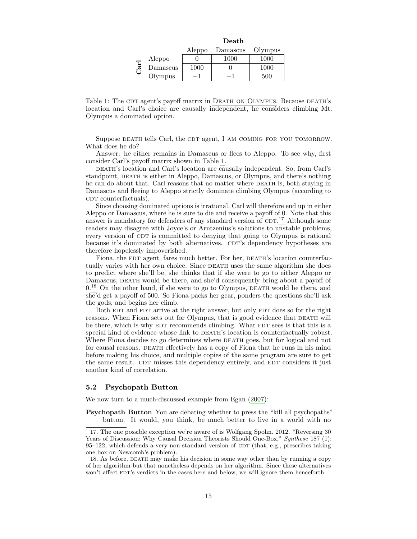<span id="page-14-1"></span>

|     |          | Death  |          |         |
|-----|----------|--------|----------|---------|
|     |          | Aleppo | Damascus | Olympus |
| ar1 | Aleppo   |        | 1000     | 1000    |
|     | Damascus | 1000   |          | 1000    |
|     | Olympus  |        |          | 500     |



Suppose DEATH tells Carl, the CDT agent, I AM COMING FOR YOU TOMORROW. What does he do?

Answer: he either remains in Damascus or flees to Aleppo. To see why, first consider Carl's payoff matrix shown in Table [1.](#page-14-1)

DEATH's location and Carl's location are causally independent. So, from Carl's standpoint, DEATH is either in Aleppo, Damascus, or Olympus, and there's nothing he can do about that. Carl reasons that no matter where DEATH is, both staying in Damascus and fleeing to Aleppo strictly dominate climbing Olympus (according to CDT counterfactuals).

Since choosing dominated options is irrational, Carl will therefore end up in either Aleppo or Damascus, where he is sure to die and receive a payoff of 0. Note that this answer is mandatory for defenders of any standard version of  $CDT$ .<sup>[17](#page-14-2)</sup> Although some readers may disagree with Joyce's or Arntzenius's solutions to unstable problems, every version of CDT is committed to denying that going to Olympus is rational because it's dominated by both alternatives. CDT's dependency hypotheses are therefore hopelessly impoverished.

Fiona, the FDT agent, fares much better. For her, DEATH's location counterfactually varies with her own choice. Since DEATH uses the same algorithm she does to predict where she'll be, she thinks that if she were to go to either Aleppo or Damascus, DEATH would be there, and she'd consequently bring about a payoff of  $0<sup>18</sup>$  $0<sup>18</sup>$  $0<sup>18</sup>$  On the other hand, if she were to go to Olympus, DEATH would be there, and she'd get a payoff of 500. So Fiona packs her gear, ponders the questions she'll ask the gods, and begins her climb.

Both EDT and FDT arrive at the right answer, but only FDT does so for the right reasons. When Fiona sets out for Olympus, that is good evidence that DEATH will be there, which is why EDT recommends climbing. What FDT sees is that this is a special kind of evidence whose link to DEATH's location is counterfactually robust. Where Fiona decides to go determines where DEATH goes, but for logical and not for causal reasons. DEATH effectively has a copy of Fiona that he runs in his mind before making his choice, and multiple copies of the same program are sure to get the same result. CDT misses this dependency entirely, and EDT considers it just another kind of correlation.

#### <span id="page-14-0"></span>5.2 Psychopath Button

We now turn to a much-discussed example from Egan [\(2007\)](#page-20-17):

Psychopath Button You are debating whether to press the "kill all psychopaths" button. It would, you think, be much better to live in a world with no

<span id="page-14-2"></span><sup>17.</sup> The one possible exception we're aware of is Wolfgang Spohn. 2012. "Reversing 30 Years of Discussion: Why Causal Decision Theorists Should One-Box." Synthese 187 (1):  $95-122$ , which defends a very non-standard version of CDT (that, e.g., prescribes taking one box on Newcomb's problem).

<span id="page-14-3"></span><sup>18.</sup> As before, DEATH may make his decision in some way other than by running a copy of her algorithm but that nonetheless depends on her algorithm. Since these alternatives won't affect FDT's verdicts in the cases here and below, we will ignore them henceforth.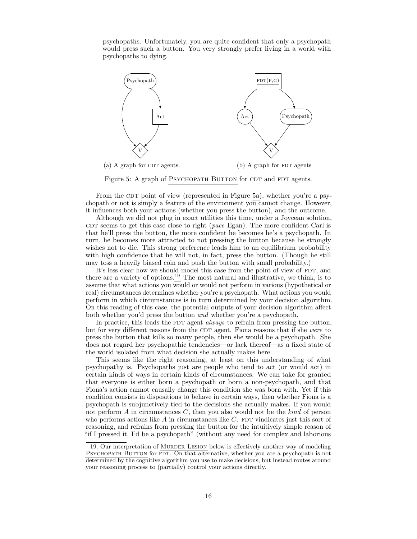psychopaths. Unfortunately, you are quite confident that only a psychopath would press such a button. You very strongly prefer living in a world with psychopaths to dying.

<span id="page-15-0"></span>

Figure 5: A graph of PSYCHOPATH BUTTON for CDT and FDT agents.

From the CDT point of view (represented in Figure [5a\)](#page-15-0), whether you're a psychopath or not is simply a feature of the environment you cannot change. However, it influences both your actions (whether you press the button), and the outcome.

Although we did not plug in exact utilities this time, under a Joycean solution, CDT seems to get this case close to right (pace Egan). The more confident Carl is that he'll press the button, the more confident he becomes he's a psychopath. In turn, he becomes more attracted to not pressing the button because he strongly wishes not to die. This strong preference leads him to an equilibrium probability with high confidence that he will not, in fact, press the button. (Though he still may toss a heavily biased coin and push the button with small probability.)

It's less clear how we should model this case from the point of view of FDT, and there are a variety of options.[19](#page-15-1) The most natural and illustrative, we think, is to assume that what actions you would or would not perform in various (hypothetical or real) circumstances determines whether you're a psychopath. What actions you would perform in which circumstances is in turn determined by your decision algorithm. On this reading of this case, the potential outputs of your decision algorithm affect both whether you'd press the button and whether you're a psychopath.

In practice, this leads the FDT agent *always* to refrain from pressing the button, but for very different reasons from the CDT agent. Fiona reasons that if she were to press the button that kills so many people, then she would be a psychopath. She does not regard her psychopathic tendencies—or lack thereof—as a fixed state of the world isolated from what decision she actually makes here.

This seems like the right reasoning, at least on this understanding of what psychopathy is. Psychopaths just are people who tend to act (or would act) in certain kinds of ways in certain kinds of circumstances. We can take for granted that everyone is either born a psychopath or born a non-psychopath, and that Fiona's action cannot causally change this condition she was born with. Yet if this condition consists in dispositions to behave in certain ways, then whether Fiona is a psychopath is subjunctively tied to the decisions she actually makes. If you would not perform  $A$  in circumstances  $C$ , then you also would not be the kind of person who performs actions like  $A$  in circumstances like  $C$ . FDT vindicates just this sort of reasoning, and refrains from pressing the button for the intuitively simple reason of "if I pressed it, I'd be a psychopath" (without any need for complex and laborious

<span id="page-15-1"></span><sup>19.</sup> Our interpretation of MURDER LESION below is effectively another way of modeling PSYCHOPATH BUTTON for FDT. On that alternative, whether you are a psychopath is not determined by the cognitive algorithm you use to make decisions, but instead routes around your reasoning process to (partially) control your actions directly.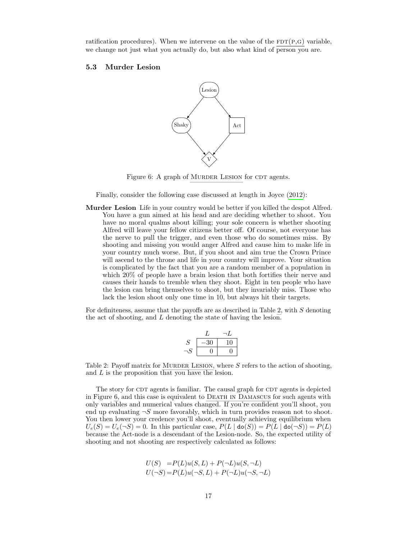ratification procedures). When we intervene on the value of the  $FDT(P,G)$  variable, we change not just what you actually do, but also what kind of person you are.

# <span id="page-16-0"></span>5.3 Murder Lesion



Figure 6: A graph of MURDER LESION for CDT agents.

Finally, consider the following case discussed at length in Joyce [\(2012\)](#page-20-11):

Murder Lesion Life in your country would be better if you killed the despot Alfred. You have a gun aimed at his head and are deciding whether to shoot. You have no moral qualms about killing; your sole concern is whether shooting Alfred will leave your fellow citizens better off. Of course, not everyone has the nerve to pull the trigger, and even those who do sometimes miss. By shooting and missing you would anger Alfred and cause him to make life in your country much worse. But, if you shoot and aim true the Crown Prince will ascend to the throne and life in your country will improve. Your situation is complicated by the fact that you are a random member of a population in which 20% of people have a brain lesion that both fortifies their nerve and causes their hands to tremble when they shoot. Eight in ten people who have the lesion can bring themselves to shoot, but they invariably miss. Those who lack the lesion shoot only one time in 10, but always hit their targets.

<span id="page-16-1"></span>For definiteness, assume that the payoffs are as described in Table [2,](#page-16-1) with  $S$  denoting the act of shooting, and L denoting the state of having the lesion.

| $\mathcal{S}$ | -30 | $\mathbf{1}(\mathbf{1})$ |
|---------------|-----|--------------------------|
| U             |     |                          |

Table 2: Payoff matrix for MURDER LESION, where  $S$  refers to the action of shooting, and L is the proposition that you have the lesion.

The story for CDT agents is familiar. The causal graph for CDT agents is depicted in Figure [6,](#page-16-0) and this case is equivalent to [Death in Damascus](#page-4-0) for such agents with only variables and numerical values changed. If you're confident you'll shoot, you end up evaluating  $\neg S$  more favorably, which in turn provides reason not to shoot. You then lower your credence you'll shoot, eventually achieving equilibrium when  $U_e(S) = U_e(\neg S) = 0$ . In this particular case,  $P(L | \text{do}(S)) = P(L | \text{do}(\neg S)) = P(L)$ because the Act-node is a descendant of the Lesion-node. So, the expected utility of shooting and not shooting are respectively calculated as follows:

$$
U(S) = P(L)u(S, L) + P(\neg L)u(S, \neg L)
$$
  

$$
U(\neg S) = P(L)u(\neg S, L) + P(\neg L)u(\neg S, \neg L)
$$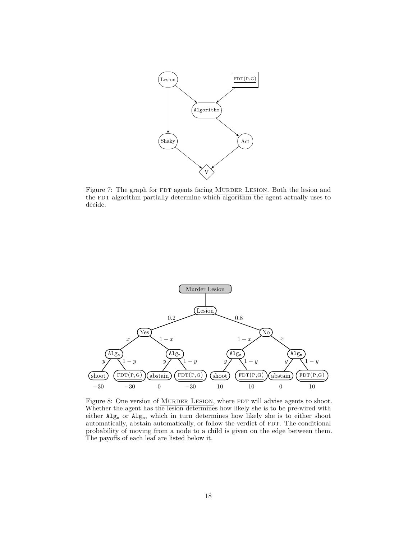<span id="page-17-0"></span>

Figure 7: The graph for FDT agents facing MURDER LESION. Both the lesion and the FDT algorithm partially determine which algorithm the agent actually uses to decide.

<span id="page-17-1"></span>

Figure 8: One version of MURDER LESION, where FDT will advise agents to shoot. Whether the agent has the lesion determines how likely she is to be pre-wired with either Alg<sup>s</sup> or Algn, which in turn determines how likely she is to either shoot automatically, abstain automatically, or follow the verdict of FDT. The conditional probability of moving from a node to a child is given on the edge between them. The payoffs of each leaf are listed below it.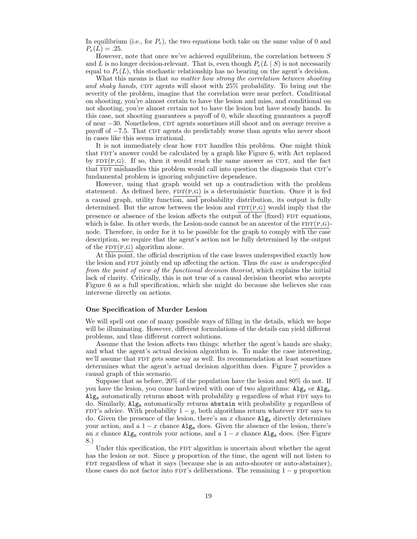In equilibrium (i.e., for  $P_e$ ), the two equations both take on the same value of 0 and  $P_e(L) = .25.$ 

However, note that once we've achieved equilibrium, the correlation between  $S$ and L is no longer decision-relevant. That is, even though  $P_e(L \mid S)$  is not necessarily equal to  $P_e(L)$ , this stochastic relationship has no bearing on the agent's decision.

What this means is that no matter how strong the correlation between shooting and shaky hands, CDT agents will shoot with 25% probability. To bring out the severity of the problem, imagine that the correlation were near perfect. Conditional on shooting, you're almost certain to have the lesion and miss, and conditional on not shooting, you're almost certain not to have the lesion but have steady hands. In this case, not shooting guarantees a payoff of 0, while shooting guarantees a payoff of near −30. Nonetheless, CDT agents sometimes still shoot and on average receive a payoff of  $-7.5$ . That CDT agents do predictably worse than agents who never shoot in cases like this seems irrational.

It is not immediately clear how FDT handles this problem. One might think that FDT's answer could be calculated by a graph like Figure [6,](#page-16-0) with Act replaced by  $FDT(P,G)$ . If so, then it would reach the same answer as CDT, and the fact that FDT mishandles this problem would call into question the diagnosis that CDT's fundamental problem is ignoring subjunctive dependence.

However, using that graph would set up a contradiction with the problem statement. As defined here,  $FDT(P,G)$  is a deterministic function. Once it is fed a causal graph, utility function, and probability distribution, its output is fully determined. But the arrow between the lesion and  $FDT(P,G)$  would imply that the presence or absence of the lesion affects the output of the (fixed) FDT equations, which is false. In other words, the Lesion-node cannot be an ancestor of the  $FDT(P,Q)$ node. Therefore, in order for it to be possible for the graph to comply with the case description, we require that the agent's action not be fully determined by the output of the  $FDT(P,G)$  algorithm alone.

At this point, the official description of the case leaves underspecified exactly how the lesion and FDT jointly end up affecting the action. Thus the case is underspecified from the point of view of the functional decision theorist, which explains the initial lack of clarity. Critically, this is not true of a causal decision theorist who accepts Figure [6](#page-16-0) as a full specification, which she might do because she believes she can intervene directly on actions.

#### One Specification of Murder Lesion

We will spell out one of many possible ways of filling in the details, which we hope will be illuminating. However, different formulations of the details can yield different problems, and thus different correct solutions.

Assume that the lesion affects two things: whether the agent's hands are shaky, and what the agent's actual decision algorithm is. To make the case interesting, we'll assume that FDT gets some say as well. Its recommendation at least sometimes determines what the agent's actual decision algorithm does. Figure [7](#page-17-0) provides a causal graph of this scenario.

Suppose that as before, 20% of the population have the lesion and 80% do not. If you have the lesion, you come hard-wired with one of two algorithms:  $\mathrm{Alg}_{s}$  or  $\mathrm{Alg}_{n}$ .  $Alg<sub>s</sub>$  automatically returns shoot with probability y regardless of what FDT says to do. Similarly,  $\mathrm{Alg}_n$  automatically returns abstain with probability y regardless of FDT's advice. With probability  $1 - y$ , both algorithms return whatever FDT says to do. Given the presence of the lesion, there's an  $x$  chance  $\mathrm{Alg}_{s}$  directly determines your action, and a  $1 - x$  chance  $\text{Alg}_{n}$  does. Given the absence of the lesion, there's an x chance  $\text{Alg}_{n}$  controls your actions, and a  $1 - x$  chance  $\text{Alg}_{s}$  does. (See Figure [8.](#page-17-1))

Under this specification, the FDT algorithm is uncertain about whether the agent has the lesion or not. Since y proportion of the time, the agent will not listen to FDT regardless of what it says (because she is an auto-shooter or auto-abstainer), those cases do not factor into FDT's deliberations. The remaining  $1 - y$  proportion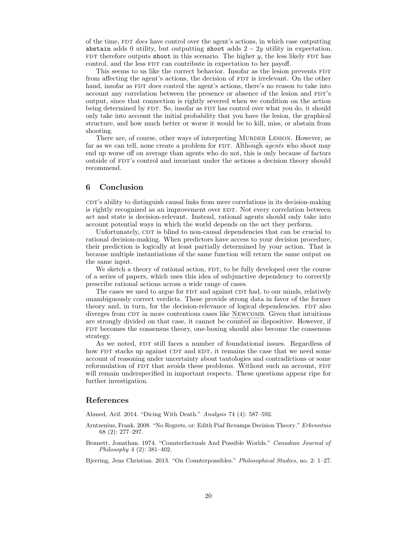of the time, FDT *does* have control over the agent's actions, in which case outputting abstain adds 0 utility, but outputting shoot adds  $2 - 2y$  utility in expectation. FDT therefore outputs shoot in this scenario. The higher  $y$ , the less likely FDT has control, and the less FDT can contribute in expectation to her payoff.

This seems to us like the correct behavior. Insofar as the lesion prevents FDT from affecting the agent's actions, the decision of FDT is irrelevant. On the other hand, insofar as FDT does control the agent's actions, there's no reason to take into account any correlation between the presence or absence of the lesion and FDT's output, since that connection is rightly severed when we condition on the action being determined by FDT. So, insofar as FDT has control over what you do, it should only take into account the initial probability that you have the lesion, the graphical structure, and how much better or worse it would be to kill, miss, or abstain from shooting.

There are, of course, other ways of interpreting MURDER LESION. However, as far as we can tell, none create a problem for FDT. Although *agents* who shoot may end up worse off on average than agents who do not, this is only because of factors outside of FDT's control and invariant under the actions a decision theory should recommend.

# <span id="page-19-0"></span>6 Conclusion

cdthtarrow contributions in its decision-making correlations in its decision-making is rightly recognized as an improvement over EDT. Not every correlation between act and state is decision-relevant. Instead, rational agents should only take into account potential ways in which the world depends on the act they perform.

Unfortunately, CDT is blind to non-causal dependencies that can be crucial to rational decision-making. When predictors have access to your decision procedure, their prediction is logically at least partially determined by your action. That is because multiple instantiations of the same function will return the same output on the same input.

We sketch a theory of rational action, FDT, to be fully developed over the course of a series of papers, which uses this idea of subjunctive dependency to correctly prescribe rational actions across a wide range of cases.

The cases we used to argue for FDT and against CDT had, to our minds, relatively unambiguously correct verdicts. These provide strong data in favor of the former theory and, in turn, for the decision-relevance of logical dependencies. FDT also diverges from CDT in more contentious cases like NEWCOMB. Given that intuitions are strongly divided on that case, it cannot be counted as dispositive. However, if FDT becomes the consensus theory, one-boxing should also become the consensus strategy.

As we noted, FDT still faces a number of foundational issues. Regardless of how FDT stacks up against CDT and EDT, it remains the case that we need some account of reasoning under uncertainty about tautologies and contradictions or some reformulation of FDT that avoids these problems. Without such an account, FDT will remain underspecified in important respects. These questions appear ripe for further investigation.

### References

<span id="page-19-2"></span>Ahmed, Arif. 2014. "Dicing With Death." Analysis 74 (4): 587–592.

- <span id="page-19-1"></span>Arntzenius, Frank. 2008. "No Regrets, or: Edith Piaf Revamps Decision Theory." Erkenntnis 68 (2): 277–297.
- <span id="page-19-3"></span>Bennett, Jonathan. 1974. "Counterfactuals And Possible Worlds." Canadian Journal of Philosophy 4 (2): 381–402.

<span id="page-19-4"></span>Bjerring, Jens Christian. 2013. "On Counterpossibles." Philosophical Studies, no. 2: 1–27.